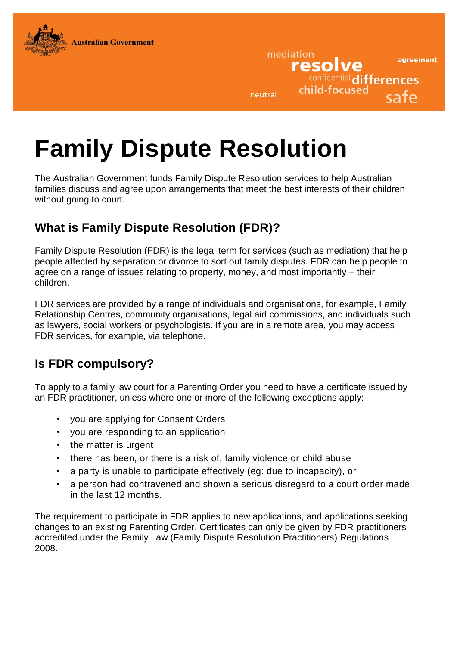

neutral

mediation

resolve

child-focused

confidential differences

agreement

safe

# **Family Dispute Resolution**

The Australian Government funds Family Dispute Resolution services to help Australian families discuss and agree upon arrangements that meet the best interests of their children without going to court.

# **What is Family Dispute Resolution (FDR)?**

Family Dispute Resolution (FDR) is the legal term for services (such as mediation) that help people affected by separation or divorce to sort out family disputes. FDR can help people to agree on a range of issues relating to property, money, and most importantly – their children.

FDR services are provided by a range of individuals and organisations, for example, Family Relationship Centres, community organisations, legal aid commissions, and individuals such as lawyers, social workers or psychologists. If you are in a remote area, you may access FDR services, for example, via telephone.

# **Is FDR compulsory?**

To apply to a family law court for a Parenting Order you need to have a certificate issued by an FDR practitioner, unless where one or more of the following exceptions apply:

- you are applying for Consent Orders
- you are responding to an application
- the matter is urgent
- there has been, or there is a risk of, family violence or child abuse
- a party is unable to participate effectively (eg: due to incapacity), or
- a person had contravened and shown a serious disregard to a court order made in the last 12 months.

The requirement to participate in FDR applies to new applications, and applications seeking changes to an existing Parenting Order. Certificates can only be given by FDR practitioners accredited under the Family Law (Family Dispute Resolution Practitioners) Regulations 2008.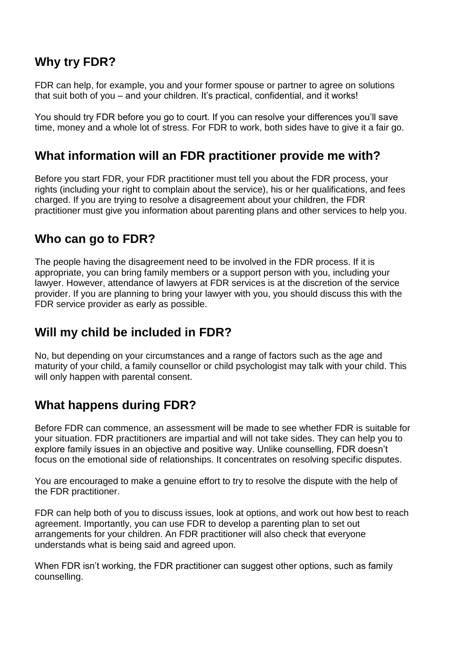## **Why try FDR?**

FDR can help, for example, you and your former spouse or partner to agree on solutions that suit both of you – and your children. It's practical, confidential, and it works!

You should try FDR before you go to court. If you can resolve your differences you'll save time, money and a whole lot of stress. For FDR to work, both sides have to give it a fair go.

#### **What information will an FDR practitioner provide me with?**

Before you start FDR, your FDR practitioner must tell you about the FDR process, your rights (including your right to complain about the service), his or her qualifications, and fees charged. If you are trying to resolve a disagreement about your children, the FDR practitioner must give you information about parenting plans and other services to help you.

### **Who can go to FDR?**

The people having the disagreement need to be involved in the FDR process. If it is appropriate, you can bring family members or a support person with you, including your lawyer. However, attendance of lawyers at FDR services is at the discretion of the service provider. If you are planning to bring your lawyer with you, you should discuss this with the FDR service provider as early as possible.

#### **Will my child be included in FDR?**

No, but depending on your circumstances and a range of factors such as the age and maturity of your child, a family counsellor or child psychologist may talk with your child. This will only happen with parental consent.

# **What happens during FDR?**

Before FDR can commence, an assessment will be made to see whether FDR is suitable for your situation. FDR practitioners are impartial and will not take sides. They can help you to explore family issues in an objective and positive way. Unlike counselling, FDR doesn't focus on the emotional side of relationships. It concentrates on resolving specific disputes.

You are encouraged to make a genuine effort to try to resolve the dispute with the help of the FDR practitioner.

FDR can help both of you to discuss issues, look at options, and work out how best to reach agreement. Importantly, you can use FDR to develop a parenting plan to set out arrangements for your children. An FDR practitioner will also check that everyone understands what is being said and agreed upon.

When FDR isn't working, the FDR practitioner can suggest other options, such as family counselling.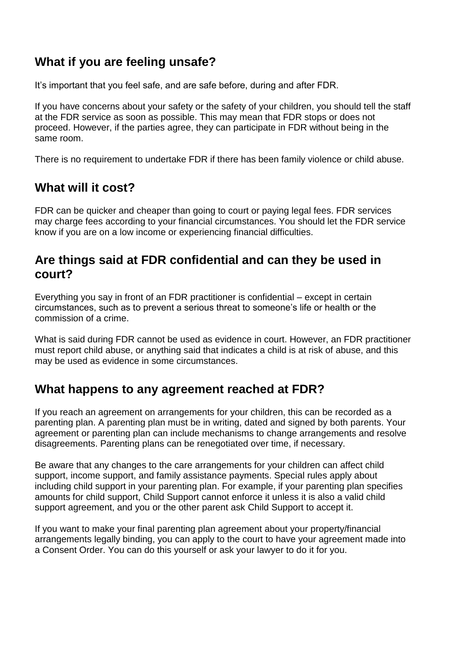# **What if you are feeling unsafe?**

It's important that you feel safe, and are safe before, during and after FDR.

If you have concerns about your safety or the safety of your children, you should tell the staff at the FDR service as soon as possible. This may mean that FDR stops or does not proceed. However, if the parties agree, they can participate in FDR without being in the same room.

There is no requirement to undertake FDR if there has been family violence or child abuse.

### **What will it cost?**

FDR can be quicker and cheaper than going to court or paying legal fees. FDR services may charge fees according to your financial circumstances. You should let the FDR service know if you are on a low income or experiencing financial difficulties.

#### **Are things said at FDR confidential and can they be used in court?**

Everything you say in front of an FDR practitioner is confidential – except in certain circumstances, such as to prevent a serious threat to someone's life or health or the commission of a crime.

What is said during FDR cannot be used as evidence in court. However, an FDR practitioner must report child abuse, or anything said that indicates a child is at risk of abuse, and this may be used as evidence in some circumstances.

#### **What happens to any agreement reached at FDR?**

If you reach an agreement on arrangements for your children, this can be recorded as a parenting plan. A parenting plan must be in writing, dated and signed by both parents. Your agreement or parenting plan can include mechanisms to change arrangements and resolve disagreements. Parenting plans can be renegotiated over time, if necessary.

Be aware that any changes to the care arrangements for your children can affect child support, income support, and family assistance payments. Special rules apply about including child support in your parenting plan. For example, if your parenting plan specifies amounts for child support, Child Support cannot enforce it unless it is also a valid child support agreement, and you or the other parent ask Child Support to accept it.

If you want to make your final parenting plan agreement about your property/financial arrangements legally binding, you can apply to the court to have your agreement made into a Consent Order. You can do this yourself or ask your lawyer to do it for you.